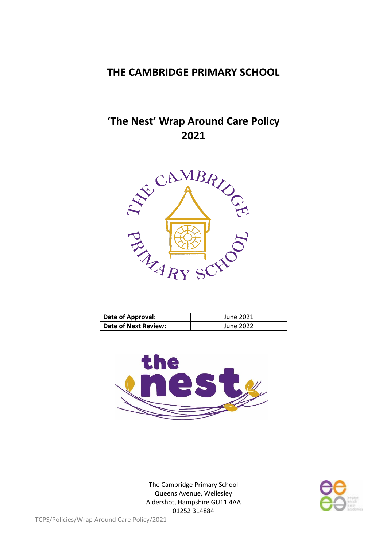### **THE CAMBRIDGE PRIMARY SCHOOL**

# **'The Nest' Wrap Around Care Policy**



| Date of Approval:    | June 2021 |
|----------------------|-----------|
| Date of Next Review: | June 2022 |



The Cambridge Primary School Queens Avenue, Wellesley Aldershot, Hampshire GU11 4AA 01252 314884

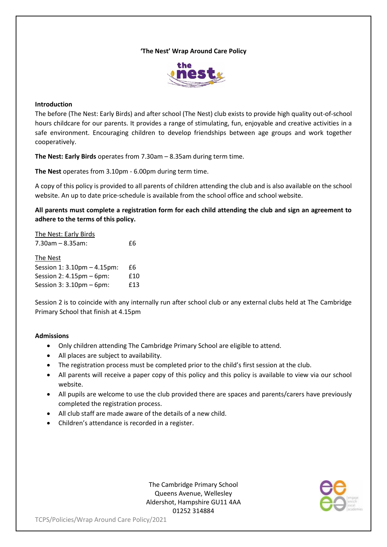#### **'The Nest' Wrap Around Care Policy**



#### **Introduction**

The before (The Nest: Early Birds) and after school (The Nest) club exists to provide high quality out-of-school hours childcare for our parents. It provides a range of stimulating, fun, enjoyable and creative activities in a safe environment. Encouraging children to develop friendships between age groups and work together cooperatively.

**The Nest: Early Birds** operates from 7.30am – 8.35am during term time.

**The Nest** operates from 3.10pm - 6.00pm during term time.

A copy of this policy is provided to all parents of children attending the club and is also available on the school website. An up to date price-schedule is available from the school office and school website.

**All parents must complete a registration form for each child attending the club and sign an agreement to adhere to the terms of this policy.**

The Nest: Early Birds 7.30am – 8.35am: £6 The Nest Session 1: 3.10pm – 4.15pm: £6 Session 2: 4.15pm – 6pm: £10 Session 3: 3.10pm – 6pm: £13

Session 2 is to coincide with any internally run after school club or any external clubs held at The Cambridge Primary School that finish at 4.15pm

#### **Admissions**

- Only children attending The Cambridge Primary School are eligible to attend.
- All places are subject to availability.
- The registration process must be completed prior to the child's first session at the club.
- All parents will receive a paper copy of this policy and this policy is available to view via our school website.
- All pupils are welcome to use the club provided there are spaces and parents/carers have previously completed the registration process.
- All club staff are made aware of the details of a new child.
- Children's attendance is recorded in a register.

The Cambridge Primary School Queens Avenue, Wellesley Aldershot, Hampshire GU11 4AA 01252 314884

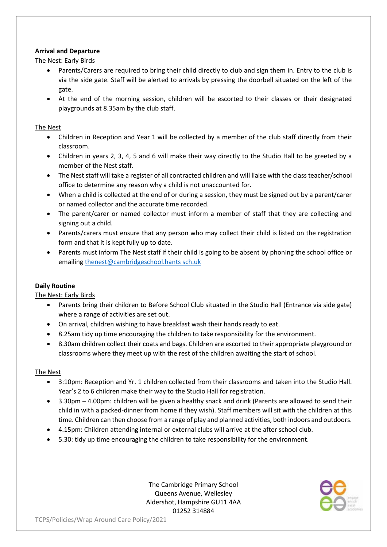#### **Arrival and Departure**

The Nest: Early Birds

- Parents/Carers are required to bring their child directly to club and sign them in. Entry to the club is via the side gate. Staff will be alerted to arrivals by pressing the doorbell situated on the left of the gate.
- At the end of the morning session, children will be escorted to their classes or their designated playgrounds at 8.35am by the club staff.

#### The Nest

- Children in Reception and Year 1 will be collected by a member of the club staff directly from their classroom.
- Children in years 2, 3, 4, 5 and 6 will make their way directly to the Studio Hall to be greeted by a member of the Nest staff.
- The Nest staff will take a register of all contracted children and will liaise with the class teacher/school office to determine any reason why a child is not unaccounted for.
- When a child is collected at the end of or during a session, they must be signed out by a parent/carer or named collector and the accurate time recorded.
- The parent/carer or named collector must inform a member of staff that they are collecting and signing out a child.
- Parents/carers must ensure that any person who may collect their child is listed on the registration form and that it is kept fully up to date.
- Parents must inform The Nest staff if their child is going to be absent by phoning the school office or emailin[g thenest@cambridgeschool.hants sch.uk](mailto:thenest@cambridgeschool.hants%20sch.uk)

#### **Daily Routine**

The Nest: Early Birds

- Parents bring their children to Before School Club situated in the Studio Hall (Entrance via side gate) where a range of activities are set out.
- On arrival, children wishing to have breakfast wash their hands ready to eat.
- 8.25am tidy up time encouraging the children to take responsibility for the environment.
- 8.30am children collect their coats and bags. Children are escorted to their appropriate playground or classrooms where they meet up with the rest of the children awaiting the start of school.

#### The Nest

- 3:10pm: Reception and Yr. 1 children collected from their classrooms and taken into the Studio Hall. Year's 2 to 6 children make their way to the Studio Hall for registration.
- 3.30pm 4.00pm: children will be given a healthy snack and drink (Parents are allowed to send their child in with a packed-dinner from home if they wish). Staff members will sit with the children at this time. Children can then choose from a range of play and planned activities, both indoors and outdoors.
- 4.15pm: Children attending internal or external clubs will arrive at the after school club.
- 5.30: tidy up time encouraging the children to take responsibility for the environment.

The Cambridge Primary School Queens Avenue, Wellesley Aldershot, Hampshire GU11 4AA 01252 314884

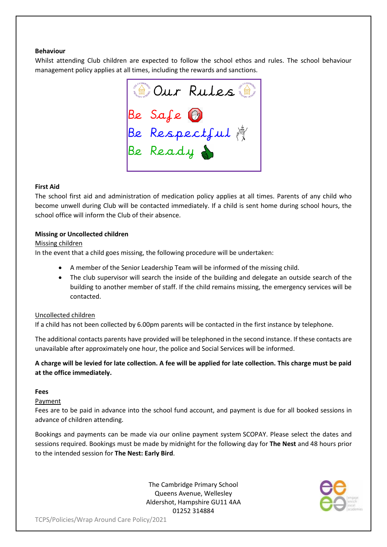#### **Behaviour**

Whilst attending Club children are expected to follow the school ethos and rules. The school behaviour management policy applies at all times, including the rewards and sanctions.

Se Safe<br>Be Safe<br>Be Respectful<br>Be Ready

#### **First Aid**

The school first aid and administration of medication policy applies at all times. Parents of any child who become unwell during Club will be contacted immediately. If a child is sent home during school hours, the school office will inform the Club of their absence.

#### **Missing or Uncollected children**

#### Missing children

In the event that a child goes missing, the following procedure will be undertaken:

- A member of the Senior Leadership Team will be informed of the missing child.
- The club supervisor will search the inside of the building and delegate an outside search of the building to another member of staff. If the child remains missing, the emergency services will be contacted.

#### Uncollected children

If a child has not been collected by 6.00pm parents will be contacted in the first instance by telephone.

The additional contacts parents have provided will be telephoned in the second instance. If these contacts are unavailable after approximately one hour, the police and Social Services will be informed.

#### **A charge will be levied for late collection. A fee will be applied for late collection. This charge must be paid at the office immediately.**

#### **Fees**

**Payment** 

Fees are to be paid in advance into the school fund account, and payment is due for all booked sessions in advance of children attending.

Bookings and payments can be made via our online payment system SCOPAY. Please select the dates and sessions required. Bookings must be made by midnight for the following day for **The Nest** and 48 hours prior to the intended session for **The Nest: Early Bird**.

> The Cambridge Primary School Queens Avenue, Wellesley Aldershot, Hampshire GU11 4AA 01252 314884

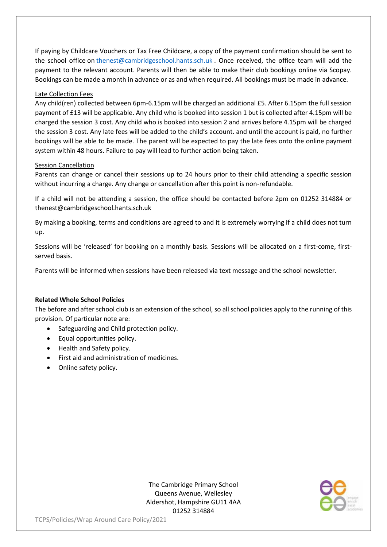If paying by Childcare Vouchers or Tax Free Childcare, a copy of the payment confirmation should be sent to the school office on [thenest@cambridgeschool.hants.sch.uk](mailto:thenest@cambridgeschool.hants.sch.uk) . Once received, the office team will add the payment to the relevant account. Parents will then be able to make their club bookings online via Scopay. Bookings can be made a month in advance or as and when required. All bookings must be made in advance.

#### Late Collection Fees

Any child(ren) collected between 6pm-6.15pm will be charged an additional £5. After 6.15pm the full session payment of £13 will be applicable. Any child who is booked into session 1 but is collected after 4.15pm will be charged the session 3 cost. Any child who is booked into session 2 and arrives before 4.15pm will be charged the session 3 cost. Any late fees will be added to the child's account. and until the account is paid, no further bookings will be able to be made. The parent will be expected to pay the late fees onto the online payment system within 48 hours. Failure to pay will lead to further action being taken.

#### Session Cancellation

Parents can change or cancel their sessions up to 24 hours prior to their child attending a specific session without incurring a charge. Any change or cancellation after this point is non-refundable.

If a child will not be attending a session, the office should be contacted before 2pm on 01252 314884 or thenest@cambridgeschool.hants.sch.uk

By making a booking, terms and conditions are agreed to and it is extremely worrying if a child does not turn up.

Sessions will be 'released' for booking on a monthly basis. Sessions will be allocated on a first-come, firstserved basis.

Parents will be informed when sessions have been released via text message and the school newsletter.

#### **Related Whole School Policies**

The before and after school club is an extension of the school, so all school policies apply to the running of this provision. Of particular note are:

- Safeguarding and Child protection policy.
- Equal opportunities policy.
- Health and Safety policy.
- First aid and administration of medicines.
- Online safety policy.

The Cambridge Primary School Queens Avenue, Wellesley Aldershot, Hampshire GU11 4AA 01252 314884